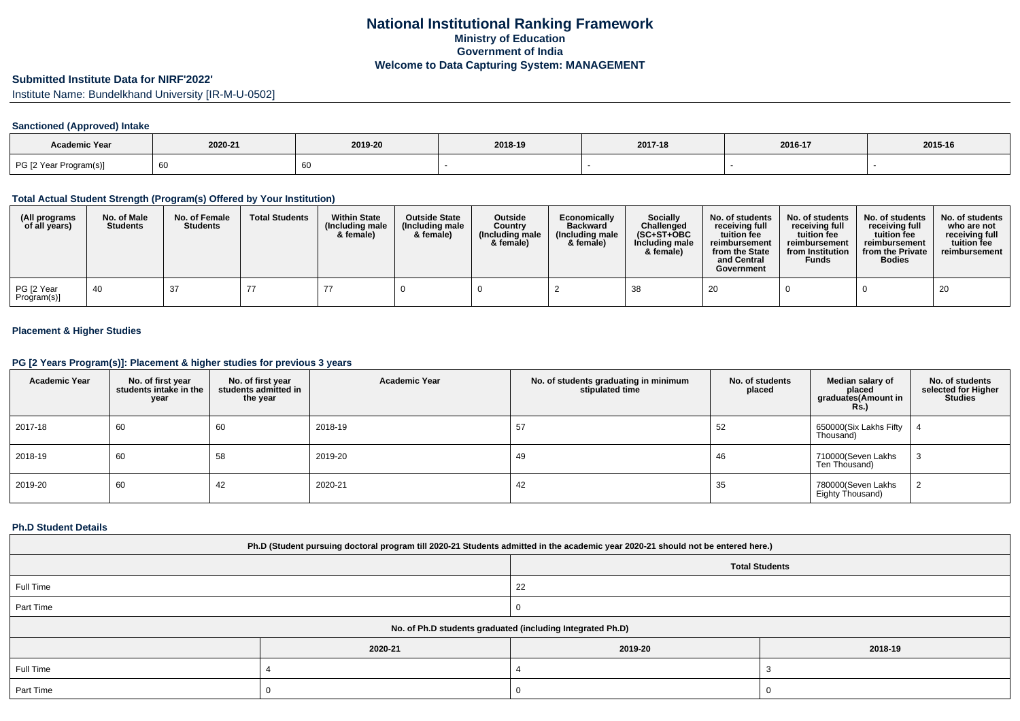# **Submitted Institute Data for NIRF'2022'**

Institute Name: Bundelkhand University [IR-M-U-0502]

### **Sanctioned (Approved) Intake**

| <b>Academic Year</b>   |         |         |         |         |         |         |
|------------------------|---------|---------|---------|---------|---------|---------|
|                        | 2020-21 | 2019-20 | 2018-19 | 2017-18 | 2016-17 | 2015-16 |
| PG [2 Year Program(s)] | 60      |         |         |         |         |         |

#### **Total Actual Student Strength (Program(s) Offered by Your Institution)**

| (All programs<br>of all years) | No. of Male<br><b>Students</b> | No. of Female<br><b>Students</b> | <b>Total Students</b> | <b>Within State</b><br>(Including male<br>& female) | <b>Outside State</b><br>(Including male<br>& female) | <b>Outside</b><br>Country<br>(Including male)<br>& female) | Economically<br><b>Backward</b><br>(Including male<br>& female) | <b>Socially</b><br>Challenged<br>$(SC+ST+OBC)$<br>Including male<br>& female) | No. of students<br>receiving full<br>tuition fee<br>reimbursement<br>from the State<br>and Central<br>Government | No. of students<br>receiving full<br>tuition fee<br>reimbursement<br>from Institution<br><b>Funds</b> | No. of students<br>receiving full<br>tuition fee<br>reimbursement<br>from the Private<br><b>Bodies</b> | No. of students<br>who are not<br>receiving full<br>tuition fee<br>reimbursement |
|--------------------------------|--------------------------------|----------------------------------|-----------------------|-----------------------------------------------------|------------------------------------------------------|------------------------------------------------------------|-----------------------------------------------------------------|-------------------------------------------------------------------------------|------------------------------------------------------------------------------------------------------------------|-------------------------------------------------------------------------------------------------------|--------------------------------------------------------------------------------------------------------|----------------------------------------------------------------------------------|
| PG [2 Year<br>Program(s)]      | -40                            | -37                              |                       |                                                     |                                                      |                                                            |                                                                 | 38                                                                            | 20                                                                                                               |                                                                                                       |                                                                                                        | 20                                                                               |

### **Placement & Higher Studies**

### **PG [2 Years Program(s)]: Placement & higher studies for previous 3 years**

| <b>Academic Year</b> | No. of first year<br>students intake in the<br>year | No. of first year<br>students admitted in<br>the year | <b>Academic Year</b> | No. of students graduating in minimum<br>stipulated time | No. of students<br>placed | Median salary of<br>placed<br>graduates(Amount in<br><b>Rs.)</b> | No. of students<br>selected for Higher<br><b>Studies</b> |
|----------------------|-----------------------------------------------------|-------------------------------------------------------|----------------------|----------------------------------------------------------|---------------------------|------------------------------------------------------------------|----------------------------------------------------------|
| 2017-18              | 60                                                  | 60                                                    | 2018-19              | 57                                                       | 52                        | 650000(Six Lakhs Fifty<br>Thousand)                              |                                                          |
| 2018-19              | 60                                                  | 58                                                    | 2019-20              | 49                                                       | 46                        | 710000(Seven Lakhs<br>Ten Thousand)                              |                                                          |
| 2019-20              | 60                                                  | 42                                                    | 2020-21              | 42                                                       | 35                        | 780000(Seven Lakhs<br>Eighty Thousand)                           |                                                          |

#### **Ph.D Student Details**

| Ph.D (Student pursuing doctoral program till 2020-21 Students admitted in the academic year 2020-21 should not be entered here.) |         |         |         |  |  |  |
|----------------------------------------------------------------------------------------------------------------------------------|---------|---------|---------|--|--|--|
| <b>Total Students</b>                                                                                                            |         |         |         |  |  |  |
| Full Time                                                                                                                        |         | 22      |         |  |  |  |
| Part Time                                                                                                                        |         |         |         |  |  |  |
| No. of Ph.D students graduated (including Integrated Ph.D)                                                                       |         |         |         |  |  |  |
|                                                                                                                                  | 2020-21 | 2019-20 | 2018-19 |  |  |  |
| Full Time                                                                                                                        |         |         |         |  |  |  |
| Part Time                                                                                                                        |         |         |         |  |  |  |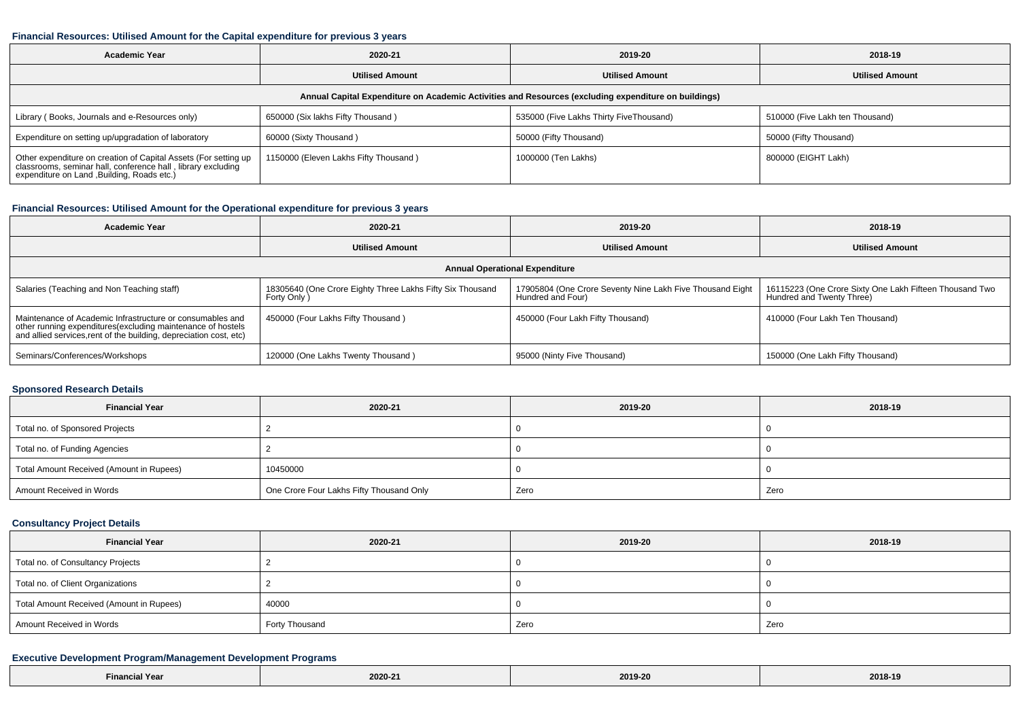#### **Financial Resources: Utilised Amount for the Capital expenditure for previous 3 years**

| <b>Academic Year</b>                                                                                                                                                        | 2020-21                               | 2019-20                                 | 2018-19                         |  |  |  |  |  |
|-----------------------------------------------------------------------------------------------------------------------------------------------------------------------------|---------------------------------------|-----------------------------------------|---------------------------------|--|--|--|--|--|
|                                                                                                                                                                             | <b>Utilised Amount</b>                | <b>Utilised Amount</b>                  | <b>Utilised Amount</b>          |  |  |  |  |  |
| Annual Capital Expenditure on Academic Activities and Resources (excluding expenditure on buildings)                                                                        |                                       |                                         |                                 |  |  |  |  |  |
| Library (Books, Journals and e-Resources only)                                                                                                                              | 650000 (Six lakhs Fifty Thousand)     | 535000 (Five Lakhs Thirty FiveThousand) | 510000 (Five Lakh ten Thousand) |  |  |  |  |  |
| Expenditure on setting up/upgradation of laboratory                                                                                                                         | 60000 (Sixty Thousand)                | 50000 (Fifty Thousand)                  | 50000 (Fifty Thousand)          |  |  |  |  |  |
| Other expenditure on creation of Capital Assets (For setting up classrooms, seminar hall, conference hall, library excluding<br>expenditure on Land , Building, Roads etc.) | 1150000 (Eleven Lakhs Fifty Thousand) | 1000000 (Ten Lakhs)                     | 800000 (EIGHT Lakh)             |  |  |  |  |  |

#### **Financial Resources: Utilised Amount for the Operational expenditure for previous 3 years**

| <b>Academic Year</b>                                                                                                                                                                            | 2020-21                                                                 | 2019-20                                                                        | 2018-19                                                                              |  |  |  |  |  |
|-------------------------------------------------------------------------------------------------------------------------------------------------------------------------------------------------|-------------------------------------------------------------------------|--------------------------------------------------------------------------------|--------------------------------------------------------------------------------------|--|--|--|--|--|
|                                                                                                                                                                                                 | <b>Utilised Amount</b>                                                  | <b>Utilised Amount</b>                                                         | <b>Utilised Amount</b>                                                               |  |  |  |  |  |
| <b>Annual Operational Expenditure</b>                                                                                                                                                           |                                                                         |                                                                                |                                                                                      |  |  |  |  |  |
| Salaries (Teaching and Non Teaching staff)                                                                                                                                                      | 18305640 (One Crore Eighty Three Lakhs Fifty Six Thousand<br>Forty Only | 17905804 (One Crore Seventy Nine Lakh Five Thousand Eight<br>Hundred and Four) | 16115223 (One Crore Sixty One Lakh Fifteen Thousand Two<br>Hundred and Twenty Three) |  |  |  |  |  |
| Maintenance of Academic Infrastructure or consumables and<br>other running expenditures (excluding maintenance of hostels<br>and allied services, rent of the building, depreciation cost, etc) | 450000 (Four Lakhs Fifty Thousand)                                      | 450000 (Four Lakh Fifty Thousand)                                              | 410000 (Four Lakh Ten Thousand)                                                      |  |  |  |  |  |
| Seminars/Conferences/Workshops                                                                                                                                                                  | 120000 (One Lakhs Twenty Thousand)                                      | 95000 (Ninty Five Thousand)                                                    | 150000 (One Lakh Fifty Thousand)                                                     |  |  |  |  |  |

### **Sponsored Research Details**

| <b>Financial Year</b>                    | 2020-21                                  | 2019-20 | 2018-19 |
|------------------------------------------|------------------------------------------|---------|---------|
| Total no. of Sponsored Projects          |                                          |         |         |
| Total no. of Funding Agencies            |                                          |         |         |
| Total Amount Received (Amount in Rupees) | 10450000                                 |         |         |
| Amount Received in Words                 | One Crore Four Lakhs Fifty Thousand Only | Zero    | Zero    |

### **Consultancy Project Details**

| <b>Financial Year</b>                    | 2020-21        | 2019-20 | 2018-19 |  |
|------------------------------------------|----------------|---------|---------|--|
| Total no. of Consultancy Projects        |                |         |         |  |
| Total no. of Client Organizations        |                |         |         |  |
| Total Amount Received (Amount in Rupees) | 40000          |         |         |  |
| Amount Received in Words                 | Forty Thousand | Zero    | Zero    |  |

### **Executive Development Program/Management Development Programs**

| N Year                                                                                                          |                                     |         |                             |
|-----------------------------------------------------------------------------------------------------------------|-------------------------------------|---------|-----------------------------|
| <b>Financi</b>                                                                                                  | 2020-21                             | 2019-20 | 2018-1                      |
| the contract of the contract of the contract of the contract of the contract of the contract of the contract of | the contract of the contract of the | .       | $\sim$ $\sim$ $\sim$ $\sim$ |